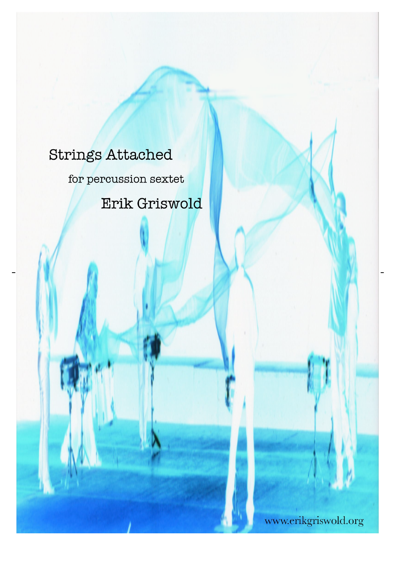# **Strings Attached**

for percussion sextet

Erik Griswold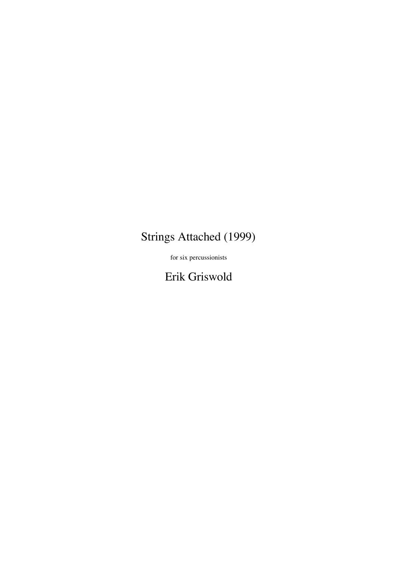## Strings Attached (1999)

for six percussionists

Erik Griswold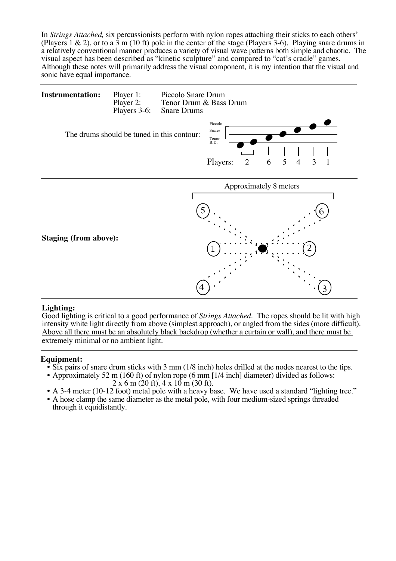In *Strings Attached,* six percussionists perform with nylon ropes attaching their sticks to each others' (Players 1 & 2), or to a 3 m (10 ft) pole in the center of the stage (Players 3-6). Playing snare drums in a relatively conventional manner produces a variety of visual wave patterns both simple and chaotic. The visual aspect has been described as "kinetic sculpture" and compared to "cat's cradle" games. Although these notes will primarily address the visual component, it is my intention that the visual and sonic have equal importance.



### **Lighting:**

Good lighting is critical to a good performance of *Strings Attached.* The ropes should be lit with high intensity white light directly from above (simplest approach), or angled from the sides (more difficult). Above all there must be an absolutely black backdrop (whether a curtain or wall), and there must be extremely minimal or no ambient light.

- 
- **Equipment:**<br>
 Six pairs of snare drum sticks with 3 mm (1/8 inch) holes drilled at the nodes nearest to the tips.<br>
 Approximately 52 m (160 ft) of nylon rope (6 mm [1/4 inch] diameter) divided as follows:<br>
2 x 6 m (20
	-
	- through it equidistantly.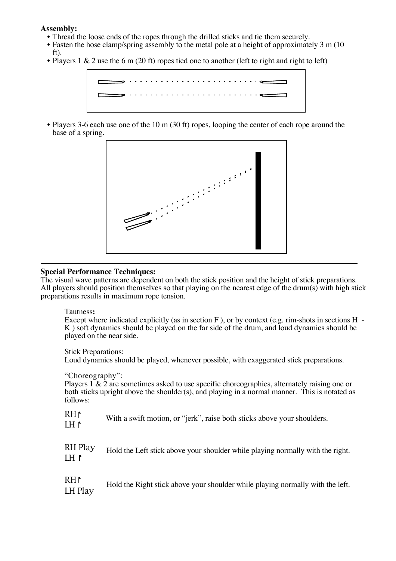### **Assembly:**

- Thread the loose ends of the ropes through the drilled sticks and tie them securely.
- Fasten the hose clamp/spring assembly to the metal pole at a height of approximately 3 m (10) ft).
- Players 1 & 2 use the 6 m (20 ft) ropes tied one to another (left to right and right to left)



• Players 3-6 each use one of the 10 m (30 ft) ropes, looping the center of each rope around the base of a spring.



### **Special Performance Techniques:**

The visual wave patterns are dependent on both the stick position and the height of stick preparations. All players should position themselves so that playing on the nearest edge of the drum(s) with high stick preparations results in maximum rope tension.

### Tautness**:**

Except where indicated explicitly (as in section F ), or by context (e.g. rim-shots in sections H - K ) soft dynamics should be played on the far side of the drum, and loud dynamics should be played on the near side.

Stick Preparations:

Loud dynamics should be played, whenever possible, with exaggerated stick preparations.

"Choreography":

Players  $1 \& 2$  are sometimes asked to use specific choreographies, alternately raising one or both sticks upright above the shoulder(s), and playing in a normal manner. This is notated as follows:

| $R$ H $\uparrow$<br>IH I   | With a swift motion, or "jerk", raise both sticks above your shoulders.        |
|----------------------------|--------------------------------------------------------------------------------|
| RH Play<br>1H <sub>1</sub> | Hold the Left stick above your shoulder while playing normally with the right. |
| RH!<br>LH Play             | Hold the Right stick above your shoulder while playing normally with the left. |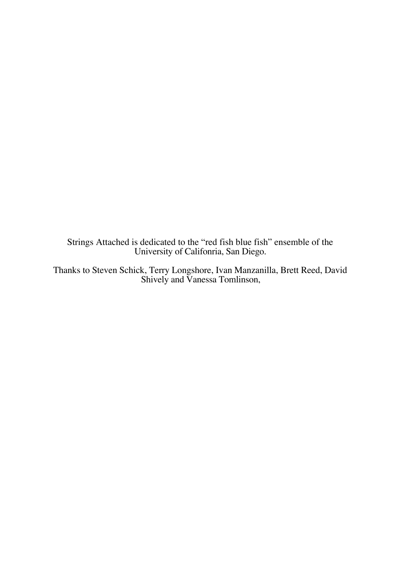Strings Attached is dedicated to the "red fish blue fish" ensemble of the University of Califonria, San Diego.

Thanks to Steven Schick, Terry Longshore, Ivan Manzanilla, Brett Reed, David Shively and Vanessa Tomlinson,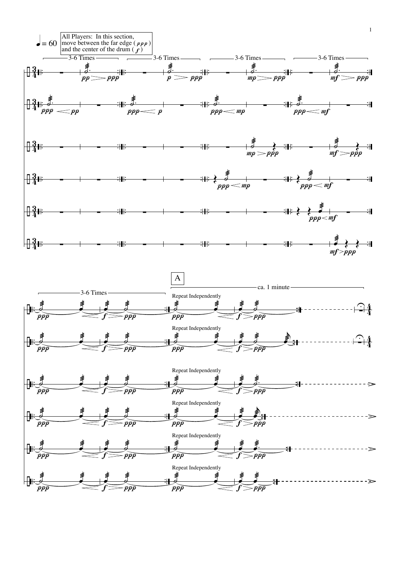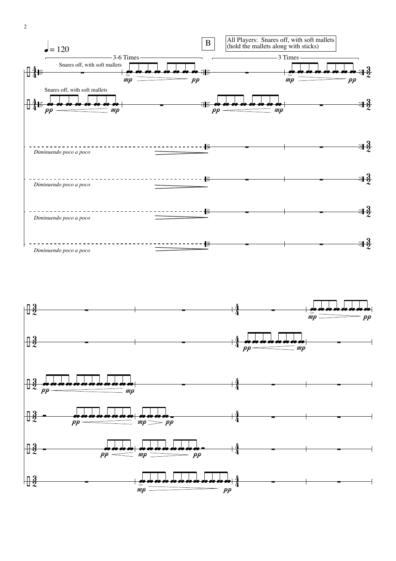2